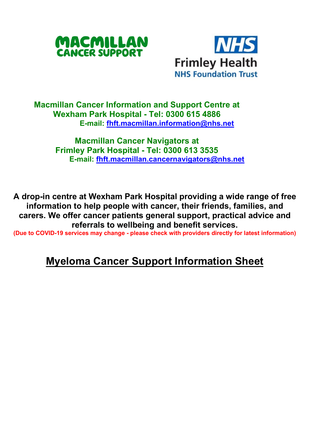



## **Macmillan Cancer Information and Support Centre at Wexham Park Hospital - Tel: 0300 615 4886 E-mail: [fhft.macmillan.information@nhs.net](mailto:fhft.macmillan.information@nhs.net)**

**Macmillan Cancer Navigators at Frimley Park Hospital - Tel: 0300 613 3535 E-mail: [fhft.macmillan.cancernavigators@nhs.net](mailto:fhft.macmillan.cancernavigators@nhs.net)**

**A drop-in centre at Wexham Park Hospital providing a wide range of free information to help people with cancer, their friends, families, and carers. We offer cancer patients general support, practical advice and referrals to wellbeing and benefit services.**

**(Due to COVID-19 services may change - please check with providers directly for latest information)**

## **Myeloma Cancer Support Information Sheet**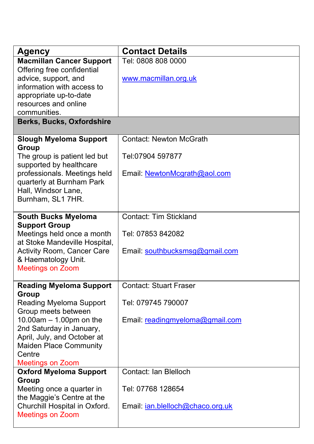| <b>Agency</b>                                                                                                                                                                                                                                        | <b>Contact Details</b>                                                                 |
|------------------------------------------------------------------------------------------------------------------------------------------------------------------------------------------------------------------------------------------------------|----------------------------------------------------------------------------------------|
| <b>Macmillan Cancer Support</b><br>Offering free confidential<br>advice, support, and<br>information with access to<br>appropriate up-to-date<br>resources and online<br>communities.                                                                | Tel: 0808 808 0000<br>www.macmillan.org.uk                                             |
| Berks, Bucks, Oxfordshire                                                                                                                                                                                                                            |                                                                                        |
| <b>Slough Myeloma Support</b><br>Group<br>The group is patient led but<br>supported by healthcare<br>professionals. Meetings held<br>quarterly at Burnham Park<br>Hall, Windsor Lane,<br>Burnham, SL1 7HR.                                           | <b>Contact: Newton McGrath</b><br>Tel:07904 597877<br>Email: NewtonMcgrath@aol.com     |
| South Bucks Myeloma<br><b>Support Group</b><br>Meetings held once a month<br>at Stoke Mandeville Hospital,<br>Activity Room, Cancer Care<br>& Haematology Unit.<br><b>Meetings on Zoom</b>                                                           | Contact: Tim Stickland<br>Tel: 07853 842082<br>Email: southbucksmsg@gmail.com          |
| <b>Reading Myeloma Support</b><br>Group<br>Reading Myeloma Support<br>Group meets between<br>$10.00$ am $- 1.00$ pm on the<br>2nd Saturday in January,<br>April, July, and October at<br>Maiden Place Community<br>Centre<br><b>Meetings on Zoom</b> | <b>Contact: Stuart Fraser</b><br>Tel: 079745 790007<br>Email: readingmyeloma@gmail.com |
| <b>Oxford Myeloma Support</b><br>Group<br>Meeting once a quarter in<br>the Maggie's Centre at the<br>Churchill Hospital in Oxford.<br><b>Meetings on Zoom</b>                                                                                        | Contact: Ian Blelloch<br>Tel: 07768 128654<br>Email: ian.blelloch@chaco.org.uk         |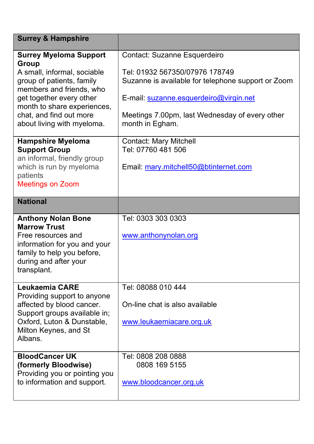| <b>Surrey &amp; Hampshire</b>                                                                                                                                                                                                                      |                                                                                                                                                                                                                                     |  |
|----------------------------------------------------------------------------------------------------------------------------------------------------------------------------------------------------------------------------------------------------|-------------------------------------------------------------------------------------------------------------------------------------------------------------------------------------------------------------------------------------|--|
| <b>Surrey Myeloma Support</b><br>Group<br>A small, informal, sociable<br>group of patients, family<br>members and friends, who<br>get together every other<br>month to share experiences,<br>chat, and find out more<br>about living with myeloma. | Contact: Suzanne Esquerdeiro<br>Tel: 01932 567350/07976 178749<br>Suzanne is available for telephone support or Zoom<br>E-mail: suzanne.esquerdeiro@virgin.net<br>Meetings 7.00pm, last Wednesday of every other<br>month in Egham. |  |
| <b>Hampshire Myeloma</b><br><b>Support Group</b><br>an informal, friendly group<br>which is run by myeloma<br>patients<br><b>Meetings on Zoom</b>                                                                                                  | Contact: Mary Mitchell<br>Tel: 07760 481 506<br>Email: mary.mitchell50@btinternet.com                                                                                                                                               |  |
| <b>National</b>                                                                                                                                                                                                                                    |                                                                                                                                                                                                                                     |  |
| <b>Anthony Nolan Bone</b><br><b>Marrow Trust</b><br>Free resources and<br>information for you and your<br>family to help you before,<br>during and after your<br>transplant.                                                                       | Tel: 0303 303 0303<br>www.anthonynolan.org                                                                                                                                                                                          |  |
| Leukaemia CARE<br>Providing support to anyone<br>affected by blood cancer.<br>Support groups available in;<br>Oxford, Luton & Dunstable,<br>Milton Keynes, and St<br>Albans.                                                                       | Tel: 08088 010 444<br>On-line chat is also available<br>www.leukaemiacare.org.uk                                                                                                                                                    |  |
| <b>BloodCancer UK</b><br>(formerly Bloodwise)<br>Providing you or pointing you<br>to information and support.                                                                                                                                      | Tel: 0808 208 0888<br>0808 169 5155<br>www.bloodcancer.org.uk                                                                                                                                                                       |  |